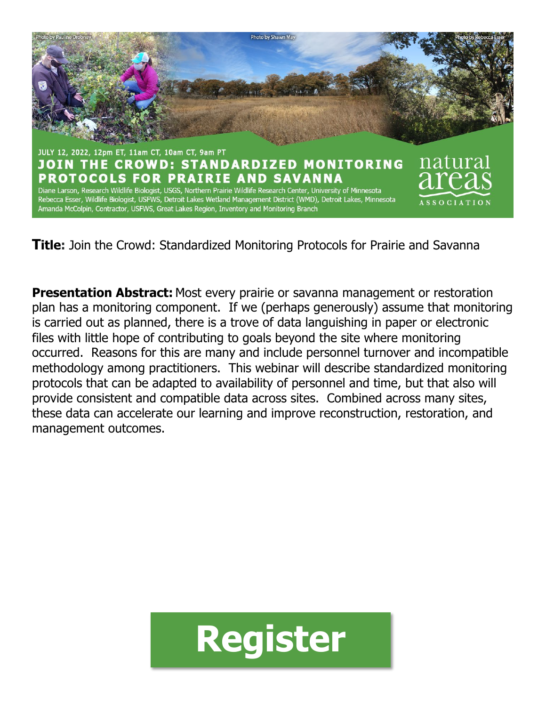

**Title:** Join the Crowd: Standardized Monitoring Protocols for Prairie and Savanna

**Presentation Abstract:** Most every prairie or savanna management or restoration plan has a monitoring component. If we (perhaps generously) assume that monitoring is carried out as planned, there is a trove of data languishing in paper or electronic files with little hope of contributing to goals beyond the site where monitoring occurred. Reasons for this are many and include personnel turnover and incompatible methodology among practitioners. This webinar will describe standardized monitoring protocols that can be adapted to availability of personnel and time, but that also will provide consistent and compatible data across sites. Combined across many sites, these data can accelerate our learning and improve reconstruction, restoration, and management outcomes.